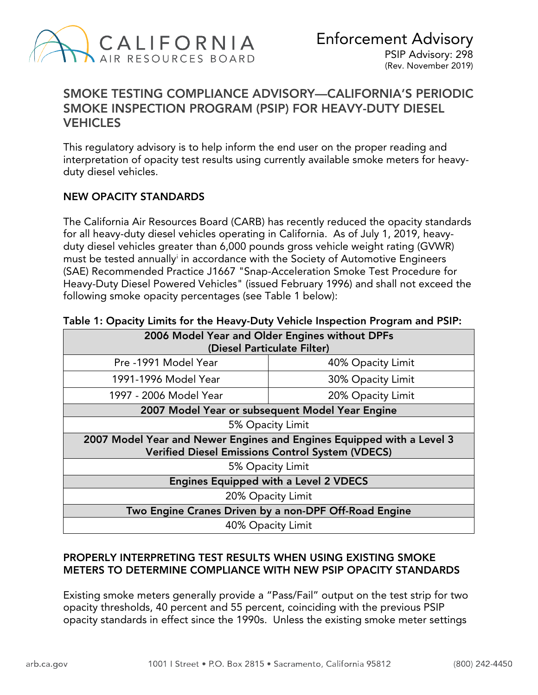

# SMOKE TESTING COMPLIANCE ADVISORY—CALIFORNIA'S PERIODIC SMOKE INSPECTION PROGRAM (PSIP) FOR HEAVY-DUTY DIESEL **VEHICLES**

This regulatory advisory is to help inform the end user on the proper reading and interpretation of opacity test results using currently available smoke meters for heavyduty diesel vehicles.

### NEW OPACITY STANDARDS

 The California Air Resources Board (CARB) has recently reduced the opacity standards for all heavy-duty diesel vehicles operating in California. As of July 1, 2019, heavyduty diesel vehicles greater than 6,000 pounds gross vehicle weight rating (GVWR) must be tested annually[i](#page-2-0) in accordance with the Society of Automotive Engineers (SAE) Recommended Practice J1667 "Snap-Acceleration Smoke Test Procedure for Heavy-Duty Diesel Powered Vehicles" (issued February 1996) and shall not exceed the following smoke opacity percentages (see Table 1 below):

| 2006 Model Year and Older Engines without DPFs<br>(Diesel Particulate Filter)                                                    |                   |  |  |  |
|----------------------------------------------------------------------------------------------------------------------------------|-------------------|--|--|--|
| Pre -1991 Model Year                                                                                                             | 40% Opacity Limit |  |  |  |
| 1991-1996 Model Year                                                                                                             | 30% Opacity Limit |  |  |  |
| 1997 - 2006 Model Year                                                                                                           | 20% Opacity Limit |  |  |  |
| 2007 Model Year or subsequent Model Year Engine                                                                                  |                   |  |  |  |
| 5% Opacity Limit                                                                                                                 |                   |  |  |  |
| 2007 Model Year and Newer Engines and Engines Equipped with a Level 3<br><b>Verified Diesel Emissions Control System (VDECS)</b> |                   |  |  |  |
| 5% Opacity Limit                                                                                                                 |                   |  |  |  |
| <b>Engines Equipped with a Level 2 VDECS</b>                                                                                     |                   |  |  |  |
| 20% Opacity Limit                                                                                                                |                   |  |  |  |
| Two Engine Cranes Driven by a non-DPF Off-Road Engine                                                                            |                   |  |  |  |
| 40% Opacity Limit                                                                                                                |                   |  |  |  |

#### Table 1: Opacity Limits for the Heavy-Duty Vehicle Inspection Program and PSIP:

### PROPERLY INTERPRETING TEST RESULTS WHEN USING EXISTING SMOKE METERS TO DETERMINE COMPLIANCE WITH NEW PSIP OPACITY STANDARDS

 Existing smoke meters generally provide a "Pass/Fail" output on the test strip for two opacity thresholds, 40 percent and 55 percent, coinciding with the previous PSIP opacity standards in effect since the 1990s. Unless the existing smoke meter settings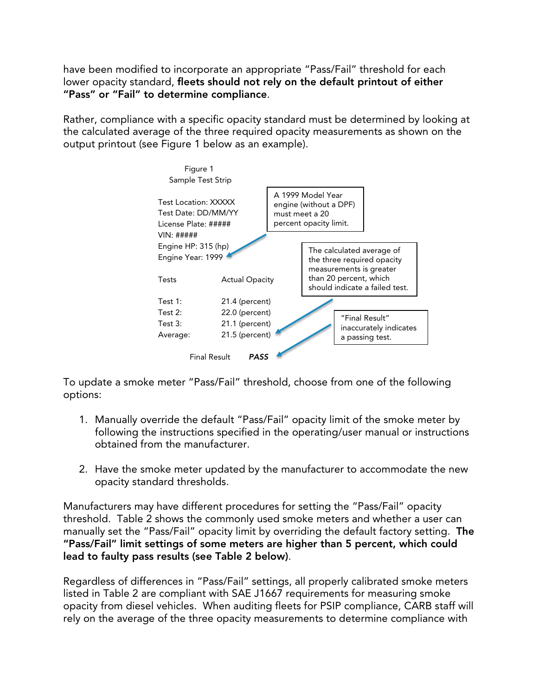have been modified to incorporate an appropriate "Pass/Fail" threshold for each lower opacity standard, fleets should not rely on the default printout of either "Pass" or "Fail" to determine compliance.

Rather, compliance with a specific opacity standard must be determined by looking at the calculated average of the three required opacity measurements as shown on the output printout (see Figure 1 below as an example).



 To update a smoke meter "Pass/Fail" threshold, choose from one of the following options:

- 1. Manually override the default "Pass/Fail" opacity limit of the smoke meter by following the instructions specified in the operating/user manual or instructions obtained from the manufacturer.
- 2. Have the smoke meter updated by the manufacturer to accommodate the new opacity standard thresholds.

 Manufacturers may have different procedures for setting the "Pass/Fail" opacity threshold. Table 2 shows the commonly used smoke meters and whether a user can manually set the "Pass/Fail" opacity limit by overriding the default factory setting. The "Pass/Fail" limit settings of some meters are higher than 5 percent, which could lead to faulty pass results (see Table 2 below).

 Regardless of differences in "Pass/Fail" settings, all properly calibrated smoke meters listed in Table 2 are compliant with SAE J1667 requirements for measuring smoke opacity from diesel vehicles. When auditing fleets for PSIP compliance, CARB staff will rely on the average of the three opacity measurements to determine compliance with